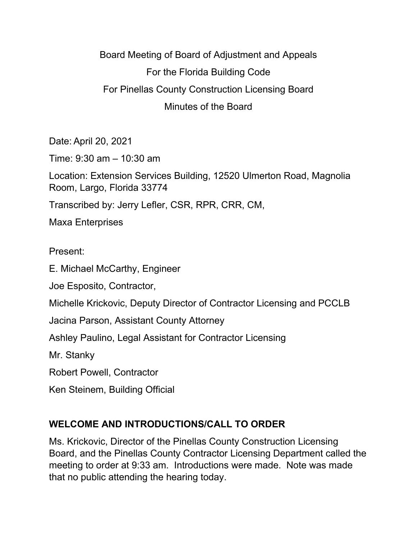Board Meeting of Board of Adjustment and Appeals For the Florida Building Code For Pinellas County Construction Licensing Board Minutes of the Board

Date: April 20, 2021 Time: 9:30 am – 10:30 am Location: Extension Services Building, 12520 Ulmerton Road, Magnolia Room, Largo, Florida 33774 Transcribed by: Jerry Lefler, CSR, RPR, CRR, CM, Maxa Enterprises Present:

E. Michael McCarthy, Engineer

Joe Esposito, Contractor,

Michelle Krickovic, Deputy Director of Contractor Licensing and PCCLB

Jacina Parson, Assistant County Attorney

Ashley Paulino, Legal Assistant for Contractor Licensing

Mr. Stanky

Robert Powell, Contractor

Ken Steinem, Building Official

## **WELCOME AND INTRODUCTIONS/CALL TO ORDER**

Ms. Krickovic, Director of the Pinellas County Construction Licensing Board, and the Pinellas County Contractor Licensing Department called the meeting to order at 9:33 am. Introductions were made. Note was made that no public attending the hearing today.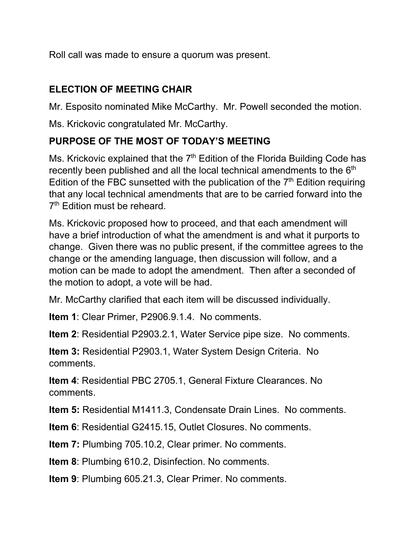Roll call was made to ensure a quorum was present.

## **ELECTION OF MEETING CHAIR**

Mr. Esposito nominated Mike McCarthy. Mr. Powell seconded the motion.

Ms. Krickovic congratulated Mr. McCarthy.

## **PURPOSE OF THE MOST OF TODAY'S MEETING**

Ms. Krickovic explained that the  $7<sup>th</sup>$  Edition of the Florida Building Code has recently been published and all the local technical amendments to the  $6<sup>th</sup>$ Edition of the FBC sunsetted with the publication of the  $7<sup>th</sup>$  Edition requiring that any local technical amendments that are to be carried forward into the 7<sup>th</sup> Edition must be reheard.

Ms. Krickovic proposed how to proceed, and that each amendment will have a brief introduction of what the amendment is and what it purports to change. Given there was no public present, if the committee agrees to the change or the amending language, then discussion will follow, and a motion can be made to adopt the amendment. Then after a seconded of the motion to adopt, a vote will be had.

Mr. McCarthy clarified that each item will be discussed individually.

**Item 1**: Clear Primer, P2906.9.1.4. No comments.

**Item 2**: Residential P2903.2.1, Water Service pipe size. No comments.

**Item 3:** Residential P2903.1, Water System Design Criteria. No comments.

**Item 4**: Residential PBC 2705.1, General Fixture Clearances. No comments.

**Item 5:** Residential M1411.3, Condensate Drain Lines. No comments.

**Item 6**: Residential G2415.15, Outlet Closures. No comments.

**Item 7:** Plumbing 705.10.2, Clear primer. No comments.

**Item 8**: Plumbing 610.2, Disinfection. No comments.

**Item 9**: Plumbing 605.21.3, Clear Primer. No comments.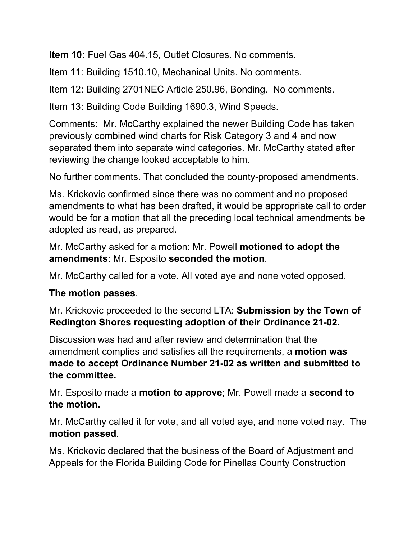**Item 10:** Fuel Gas 404.15, Outlet Closures. No comments.

Item 11: Building 1510.10, Mechanical Units. No comments.

Item 12: Building 2701NEC Article 250.96, Bonding. No comments.

Item 13: Building Code Building 1690.3, Wind Speeds.

Comments: Mr. McCarthy explained the newer Building Code has taken previously combined wind charts for Risk Category 3 and 4 and now separated them into separate wind categories. Mr. McCarthy stated after reviewing the change looked acceptable to him.

No further comments. That concluded the county-proposed amendments.

Ms. Krickovic confirmed since there was no comment and no proposed amendments to what has been drafted, it would be appropriate call to order would be for a motion that all the preceding local technical amendments be adopted as read, as prepared.

Mr. McCarthy asked for a motion: Mr. Powell **motioned to adopt the amendments**: Mr. Esposito **seconded the motion**.

Mr. McCarthy called for a vote. All voted aye and none voted opposed.

## **The motion passes**.

Mr. Krickovic proceeded to the second LTA: **Submission by the Town of Redington Shores requesting adoption of their Ordinance 21-02.**

Discussion was had and after review and determination that the amendment complies and satisfies all the requirements, a **motion was made to accept Ordinance Number 21-02 as written and submitted to the committee.**

Mr. Esposito made a **motion to approve**; Mr. Powell made a **second to the motion.**

Mr. McCarthy called it for vote, and all voted aye, and none voted nay. The **motion passed**.

Ms. Krickovic declared that the business of the Board of Adjustment and Appeals for the Florida Building Code for Pinellas County Construction